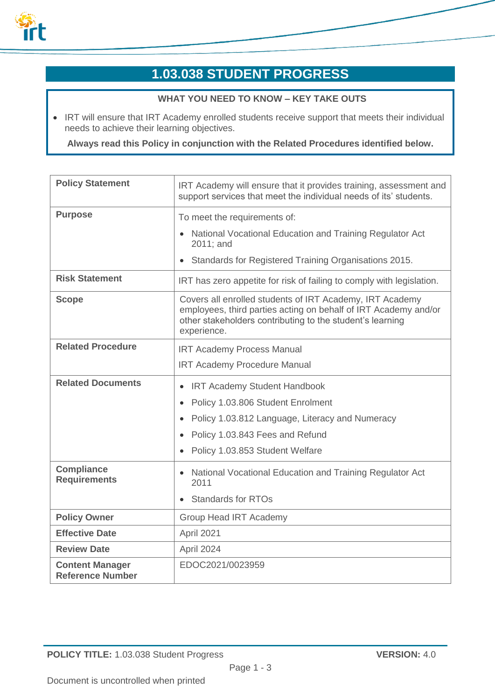

# **1.03.038 STUDENT PROGRESS**

#### **WHAT YOU NEED TO KNOW – KEY TAKE OUTS**

• IRT will ensure that IRT Academy enrolled students receive support that meets their individual needs to achieve their learning objectives.

**Always read this Policy in conjunction with the Related Procedures identified below.**

| <b>Policy Statement</b>                           | IRT Academy will ensure that it provides training, assessment and<br>support services that meet the individual needs of its' students.                                                                  |
|---------------------------------------------------|---------------------------------------------------------------------------------------------------------------------------------------------------------------------------------------------------------|
| <b>Purpose</b>                                    | To meet the requirements of:                                                                                                                                                                            |
|                                                   | National Vocational Education and Training Regulator Act<br>2011; and                                                                                                                                   |
|                                                   | Standards for Registered Training Organisations 2015.                                                                                                                                                   |
| <b>Risk Statement</b>                             | IRT has zero appetite for risk of failing to comply with legislation.                                                                                                                                   |
| <b>Scope</b>                                      | Covers all enrolled students of IRT Academy, IRT Academy<br>employees, third parties acting on behalf of IRT Academy and/or<br>other stakeholders contributing to the student's learning<br>experience. |
| <b>Related Procedure</b>                          | <b>IRT Academy Process Manual</b>                                                                                                                                                                       |
|                                                   | <b>IRT Academy Procedure Manual</b>                                                                                                                                                                     |
| <b>Related Documents</b>                          | <b>IRT Academy Student Handbook</b><br>$\bullet$                                                                                                                                                        |
|                                                   | Policy 1.03.806 Student Enrolment<br>$\bullet$                                                                                                                                                          |
|                                                   | Policy 1.03.812 Language, Literacy and Numeracy<br>$\bullet$                                                                                                                                            |
|                                                   | Policy 1.03.843 Fees and Refund<br>$\bullet$                                                                                                                                                            |
|                                                   | Policy 1.03.853 Student Welfare<br>$\bullet$                                                                                                                                                            |
| <b>Compliance</b><br><b>Requirements</b>          | <b>National Vocational Education and Training Regulator Act</b><br>$\bullet$<br>2011                                                                                                                    |
|                                                   | <b>Standards for RTOs</b><br>$\bullet$                                                                                                                                                                  |
| <b>Policy Owner</b>                               | <b>Group Head IRT Academy</b>                                                                                                                                                                           |
| <b>Effective Date</b>                             | April 2021                                                                                                                                                                                              |
| <b>Review Date</b>                                | April 2024                                                                                                                                                                                              |
| <b>Content Manager</b><br><b>Reference Number</b> | EDOC2021/0023959                                                                                                                                                                                        |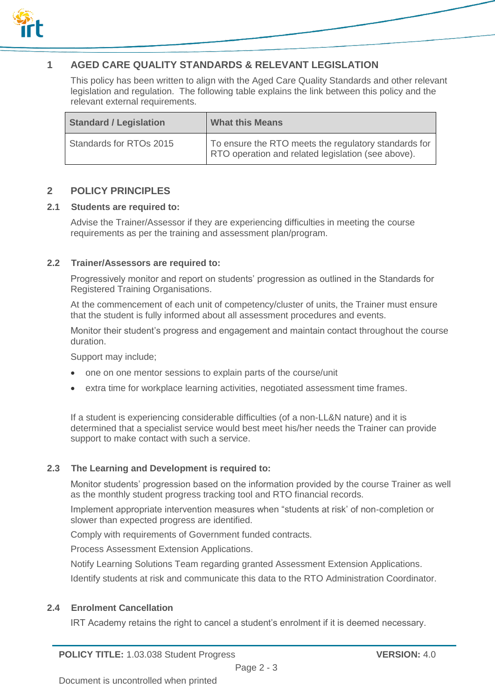

# **1 AGED CARE QUALITY STANDARDS & RELEVANT LEGISLATION**

This policy has been written to align with the Aged Care Quality Standards and other relevant legislation and regulation. The following table explains the link between this policy and the relevant external requirements.

| <b>Standard / Legislation</b> | <b>What this Means</b>                                                                                     |
|-------------------------------|------------------------------------------------------------------------------------------------------------|
| Standards for RTOs 2015       | To ensure the RTO meets the regulatory standards for<br>RTO operation and related legislation (see above). |

# **2 POLICY PRINCIPLES**

#### **2.1 Students are required to:**

Advise the Trainer/Assessor if they are experiencing difficulties in meeting the course requirements as per the training and assessment plan/program.

#### **2.2 Trainer/Assessors are required to:**

Progressively monitor and report on students' progression as outlined in the Standards for Registered Training Organisations.

At the commencement of each unit of competency/cluster of units, the Trainer must ensure that the student is fully informed about all assessment procedures and events.

Monitor their student's progress and engagement and maintain contact throughout the course duration.

Support may include;

- one on one mentor sessions to explain parts of the course/unit
- extra time for workplace learning activities, negotiated assessment time frames.

If a student is experiencing considerable difficulties (of a non-LL&N nature) and it is determined that a specialist service would best meet his/her needs the Trainer can provide support to make contact with such a service.

#### **2.3 The Learning and Development is required to:**

Monitor students' progression based on the information provided by the course Trainer as well as the monthly student progress tracking tool and RTO financial records.

Implement appropriate intervention measures when "students at risk' of non-completion or slower than expected progress are identified.

Comply with requirements of Government funded contracts.

Process Assessment Extension Applications.

Notify Learning Solutions Team regarding granted Assessment Extension Applications.

Identify students at risk and communicate this data to the RTO Administration Coordinator.

#### **2.4 Enrolment Cancellation**

IRT Academy retains the right to cancel a student's enrolment if it is deemed necessary.